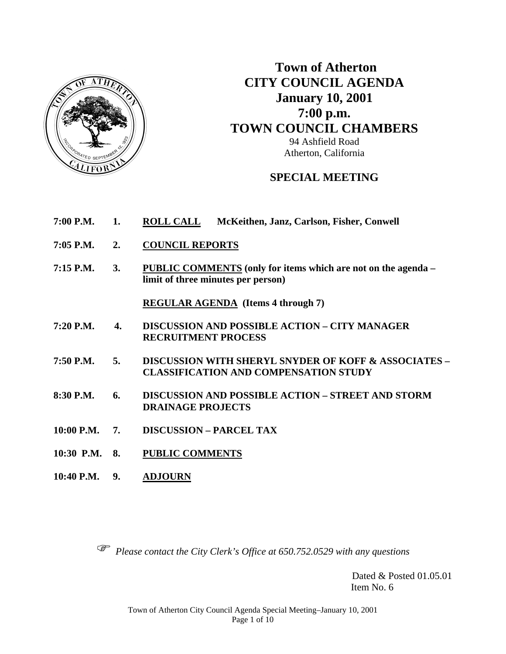

 **Town of Atherton CITY COUNCIL AGENDA January 10, 2001 7:00 p.m. TOWN COUNCIL CHAMBERS** 94 Ashfield Road Atherton, California

### **SPECIAL MEETING**

- **7:00 P.M. 1. ROLL CALL McKeithen, Janz, Carlson, Fisher, Conwell**
- **7:05 P.M. 2. COUNCIL REPORTS**
- **7:15 P.M. 3. PUBLIC COMMENTS (only for items which are not on the agenda limit of three minutes per person)**

 **REGULAR AGENDA (Items 4 through 7)** 

- **7:20 P.M. 4. DISCUSSION AND POSSIBLE ACTION CITY MANAGER RECRUITMENT PROCESS**
- **7:50 P.M. 5. DISCUSSION WITH SHERYL SNYDER OF KOFF & ASSOCIATES CLASSIFICATION AND COMPENSATION STUDY**
- **8:30 P.M. 6. DISCUSSION AND POSSIBLE ACTION STREET AND STORM DRAINAGE PROJECTS**
- **10:00 P.M. 7. DISCUSSION PARCEL TAX**
- **10:30 P.M. 8. PUBLIC COMMENTS**
- **10:40 P.M. 9. ADJOURN**

*Please contact the City Clerk's Office at 650.752.0529 with any questions* 

Dated & Posted 01.05.01 Item No. 6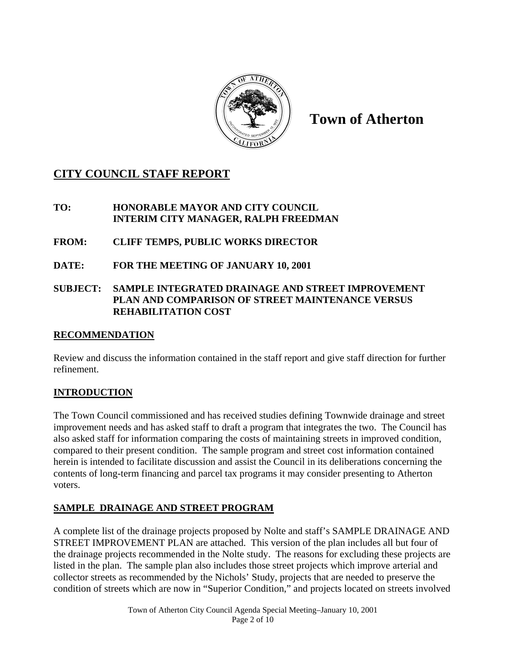

**Town of Atherton** 

# **CITY COUNCIL STAFF REPORT**

## **TO: HONORABLE MAYOR AND CITY COUNCIL INTERIM CITY MANAGER, RALPH FREEDMAN**

- **FROM: CLIFF TEMPS, PUBLIC WORKS DIRECTOR**
- **DATE: FOR THE MEETING OF JANUARY 10, 2001**

### **SUBJECT: SAMPLE INTEGRATED DRAINAGE AND STREET IMPROVEMENT PLAN AND COMPARISON OF STREET MAINTENANCE VERSUS REHABILITATION COST**

## **RECOMMENDATION**

Review and discuss the information contained in the staff report and give staff direction for further refinement.

## **INTRODUCTION**

The Town Council commissioned and has received studies defining Townwide drainage and street improvement needs and has asked staff to draft a program that integrates the two. The Council has also asked staff for information comparing the costs of maintaining streets in improved condition, compared to their present condition. The sample program and street cost information contained herein is intended to facilitate discussion and assist the Council in its deliberations concerning the contents of long-term financing and parcel tax programs it may consider presenting to Atherton voters.

## **SAMPLE DRAINAGE AND STREET PROGRAM**

A complete list of the drainage projects proposed by Nolte and staff's SAMPLE DRAINAGE AND STREET IMPROVEMENT PLAN are attached. This version of the plan includes all but four of the drainage projects recommended in the Nolte study. The reasons for excluding these projects are listed in the plan. The sample plan also includes those street projects which improve arterial and collector streets as recommended by the Nichols' Study, projects that are needed to preserve the condition of streets which are now in "Superior Condition," and projects located on streets involved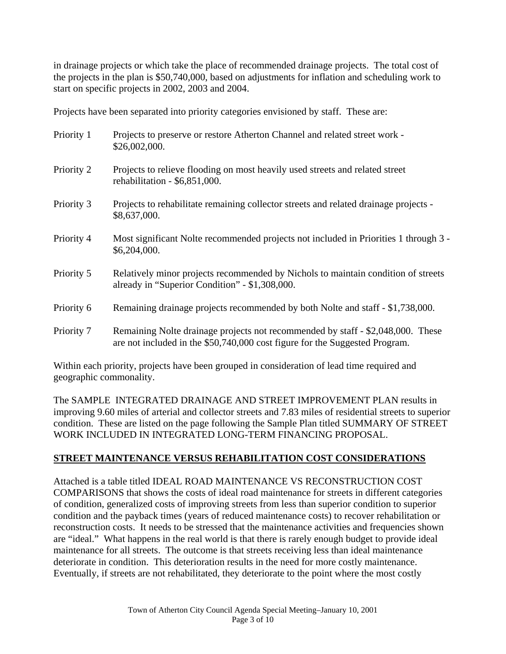in drainage projects or which take the place of recommended drainage projects. The total cost of the projects in the plan is \$50,740,000, based on adjustments for inflation and scheduling work to start on specific projects in 2002, 2003 and 2004.

Projects have been separated into priority categories envisioned by staff. These are:

| Priority 1 | Projects to preserve or restore Atherton Channel and related street work -<br>\$26,002,000.                                                                    |
|------------|----------------------------------------------------------------------------------------------------------------------------------------------------------------|
| Priority 2 | Projects to relieve flooding on most heavily used streets and related street<br>rehabilitation - \$6,851,000.                                                  |
| Priority 3 | Projects to rehabilitate remaining collector streets and related drainage projects -<br>\$8,637,000.                                                           |
| Priority 4 | Most significant Nolte recommended projects not included in Priorities 1 through 3 -<br>\$6,204,000.                                                           |
| Priority 5 | Relatively minor projects recommended by Nichols to maintain condition of streets<br>already in "Superior Condition" - \$1,308,000.                            |
| Priority 6 | Remaining drainage projects recommended by both Nolte and staff - \$1,738,000.                                                                                 |
| Priority 7 | Remaining Nolte drainage projects not recommended by staff - \$2,048,000. These<br>are not included in the \$50,740,000 cost figure for the Suggested Program. |

Within each priority, projects have been grouped in consideration of lead time required and geographic commonality.

The SAMPLE INTEGRATED DRAINAGE AND STREET IMPROVEMENT PLAN results in improving 9.60 miles of arterial and collector streets and 7.83 miles of residential streets to superior condition. These are listed on the page following the Sample Plan titled SUMMARY OF STREET WORK INCLUDED IN INTEGRATED LONG-TERM FINANCING PROPOSAL.

## **STREET MAINTENANCE VERSUS REHABILITATION COST CONSIDERATIONS**

Attached is a table titled IDEAL ROAD MAINTENANCE VS RECONSTRUCTION COST COMPARISONS that shows the costs of ideal road maintenance for streets in different categories of condition, generalized costs of improving streets from less than superior condition to superior condition and the payback times (years of reduced maintenance costs) to recover rehabilitation or reconstruction costs. It needs to be stressed that the maintenance activities and frequencies shown are "ideal." What happens in the real world is that there is rarely enough budget to provide ideal maintenance for all streets. The outcome is that streets receiving less than ideal maintenance deteriorate in condition. This deterioration results in the need for more costly maintenance. Eventually, if streets are not rehabilitated, they deteriorate to the point where the most costly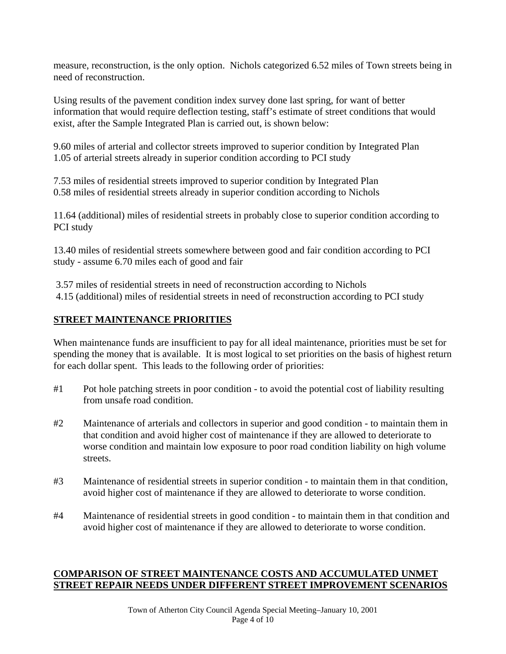measure, reconstruction, is the only option. Nichols categorized 6.52 miles of Town streets being in need of reconstruction.

Using results of the pavement condition index survey done last spring, for want of better information that would require deflection testing, staff's estimate of street conditions that would exist, after the Sample Integrated Plan is carried out, is shown below:

9.60 miles of arterial and collector streets improved to superior condition by Integrated Plan 1.05 of arterial streets already in superior condition according to PCI study

7.53 miles of residential streets improved to superior condition by Integrated Plan 0.58 miles of residential streets already in superior condition according to Nichols

11.64 (additional) miles of residential streets in probably close to superior condition according to PCI study

13.40 miles of residential streets somewhere between good and fair condition according to PCI study - assume 6.70 miles each of good and fair

 3.57 miles of residential streets in need of reconstruction according to Nichols 4.15 (additional) miles of residential streets in need of reconstruction according to PCI study

### **STREET MAINTENANCE PRIORITIES**

When maintenance funds are insufficient to pay for all ideal maintenance, priorities must be set for spending the money that is available. It is most logical to set priorities on the basis of highest return for each dollar spent. This leads to the following order of priorities:

- #1 Pot hole patching streets in poor condition to avoid the potential cost of liability resulting from unsafe road condition.
- #2 Maintenance of arterials and collectors in superior and good condition to maintain them in that condition and avoid higher cost of maintenance if they are allowed to deteriorate to worse condition and maintain low exposure to poor road condition liability on high volume streets.
- #3 Maintenance of residential streets in superior condition to maintain them in that condition, avoid higher cost of maintenance if they are allowed to deteriorate to worse condition.
- #4 Maintenance of residential streets in good condition to maintain them in that condition and avoid higher cost of maintenance if they are allowed to deteriorate to worse condition.

### **COMPARISON OF STREET MAINTENANCE COSTS AND ACCUMULATED UNMET STREET REPAIR NEEDS UNDER DIFFERENT STREET IMPROVEMENT SCENARIOS**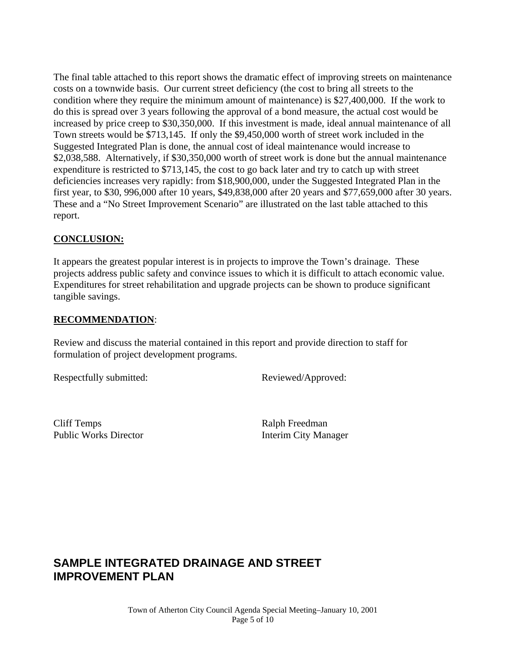The final table attached to this report shows the dramatic effect of improving streets on maintenance costs on a townwide basis. Our current street deficiency (the cost to bring all streets to the condition where they require the minimum amount of maintenance) is \$27,400,000. If the work to do this is spread over 3 years following the approval of a bond measure, the actual cost would be increased by price creep to \$30,350,000. If this investment is made, ideal annual maintenance of all Town streets would be \$713,145. If only the \$9,450,000 worth of street work included in the Suggested Integrated Plan is done, the annual cost of ideal maintenance would increase to \$2,038,588. Alternatively, if \$30,350,000 worth of street work is done but the annual maintenance expenditure is restricted to \$713,145, the cost to go back later and try to catch up with street deficiencies increases very rapidly: from \$18,900,000, under the Suggested Integrated Plan in the first year, to \$30, 996,000 after 10 years, \$49,838,000 after 20 years and \$77,659,000 after 30 years. These and a "No Street Improvement Scenario" are illustrated on the last table attached to this report.

### **CONCLUSION:**

It appears the greatest popular interest is in projects to improve the Town's drainage. These projects address public safety and convince issues to which it is difficult to attach economic value. Expenditures for street rehabilitation and upgrade projects can be shown to produce significant tangible savings.

### **RECOMMENDATION**:

Review and discuss the material contained in this report and provide direction to staff for formulation of project development programs.

Respectfully submitted: Reviewed/Approved:

Cliff Temps Ralph Freedman Public Works Director **Interim City Manager** 

# **SAMPLE INTEGRATED DRAINAGE AND STREET IMPROVEMENT PLAN**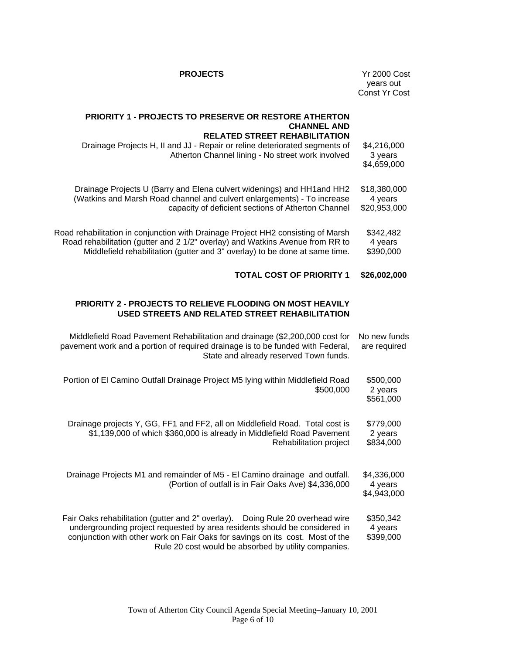| <b>PROJECTS</b>                                                                                                                                                                                                                                                                                       | <b>Yr 2000 Cost</b><br>years out<br><b>Const Yr Cost</b> |
|-------------------------------------------------------------------------------------------------------------------------------------------------------------------------------------------------------------------------------------------------------------------------------------------------------|----------------------------------------------------------|
| <b>PRIORITY 1 - PROJECTS TO PRESERVE OR RESTORE ATHERTON</b><br><b>CHANNEL AND</b><br><b>RELATED STREET REHABILITATION</b><br>Drainage Projects H, II and JJ - Repair or reline deteriorated segments of<br>Atherton Channel lining - No street work involved                                         | \$4,216,000<br>3 years<br>\$4,659,000                    |
| Drainage Projects U (Barry and Elena culvert widenings) and HH1 and HH2<br>(Watkins and Marsh Road channel and culvert enlargements) - To increase<br>capacity of deficient sections of Atherton Channel                                                                                              | \$18,380,000<br>4 years<br>\$20,953,000                  |
| Road rehabilitation in conjunction with Drainage Project HH2 consisting of Marsh<br>Road rehabilitation (gutter and 2 1/2" overlay) and Watkins Avenue from RR to<br>Middlefield rehabilitation (gutter and 3" overlay) to be done at same time.                                                      | \$342,482<br>4 years<br>\$390,000                        |
| <b>TOTAL COST OF PRIORITY 1</b>                                                                                                                                                                                                                                                                       | \$26,002,000                                             |
| <b>PRIORITY 2 - PROJECTS TO RELIEVE FLOODING ON MOST HEAVILY</b><br>USED STREETS AND RELATED STREET REHABILITATION                                                                                                                                                                                    |                                                          |
| Middlefield Road Pavement Rehabilitation and drainage (\$2,200,000 cost for<br>pavement work and a portion of required drainage is to be funded with Federal,<br>State and already reserved Town funds.                                                                                               | No new funds<br>are required                             |
| Portion of El Camino Outfall Drainage Project M5 lying within Middlefield Road<br>\$500,000                                                                                                                                                                                                           | \$500,000<br>2 years<br>\$561,000                        |
| Drainage projects Y, GG, FF1 and FF2, all on Middlefield Road. Total cost is<br>\$1,139,000 of which \$360,000 is already in Middlefield Road Pavement<br>Rehabilitation project                                                                                                                      | \$779,000<br>2 years<br>\$834,000                        |
| Drainage Projects M1 and remainder of M5 - El Camino drainage and outfall.<br>(Portion of outfall is in Fair Oaks Ave) \$4,336,000                                                                                                                                                                    | \$4,336,000<br>4 years<br>\$4,943,000                    |
| Fair Oaks rehabilitation (gutter and 2" overlay).  Doing Rule 20 overhead wire<br>undergrounding project requested by area residents should be considered in<br>conjunction with other work on Fair Oaks for savings on its cost. Most of the<br>Rule 20 cost would be absorbed by utility companies. | \$350,342<br>4 years<br>\$399,000                        |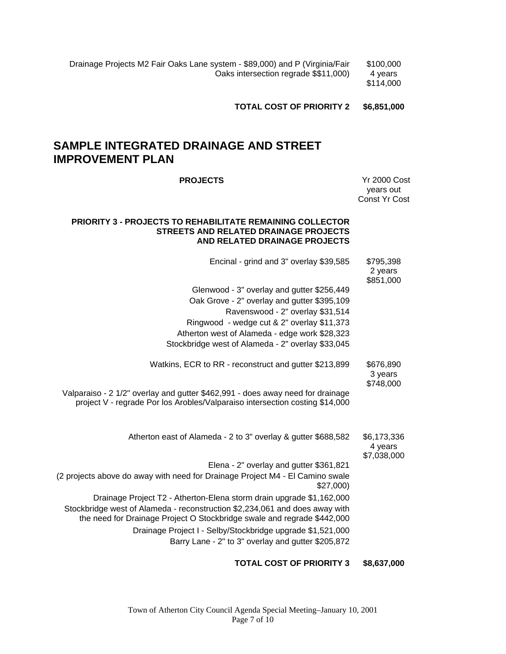Drainage Projects M2 Fair Oaks Lane system - \$89,000) and P (Virginia/Fair Oaks intersection regrade \$\$11,000) \$100,000 4 years \$114,000

**TOTAL COST OF PRIORITY 2 \$6,851,000** 

## **SAMPLE INTEGRATED DRAINAGE AND STREET IMPROVEMENT PLAN**

| <b>PROJECTS</b>                                                                                                                                                                                                                                                                                                                                    | <b>Yr 2000 Cost</b><br>years out<br><b>Const Yr Cost</b> |
|----------------------------------------------------------------------------------------------------------------------------------------------------------------------------------------------------------------------------------------------------------------------------------------------------------------------------------------------------|----------------------------------------------------------|
| <b>PRIORITY 3 - PROJECTS TO REHABILITATE REMAINING COLLECTOR</b><br><b>STREETS AND RELATED DRAINAGE PROJECTS</b><br>AND RELATED DRAINAGE PROJECTS                                                                                                                                                                                                  |                                                          |
| Encinal - grind and 3" overlay \$39,585                                                                                                                                                                                                                                                                                                            | \$795,398<br>2 years<br>\$851,000                        |
| Glenwood - 3" overlay and gutter \$256,449<br>Oak Grove - 2" overlay and gutter \$395,109<br>Ravenswood - 2" overlay \$31,514<br>Ringwood - wedge cut & 2" overlay \$11,373<br>Atherton west of Alameda - edge work \$28,323<br>Stockbridge west of Alameda - 2" overlay \$33,045                                                                  |                                                          |
| Watkins, ECR to RR - reconstruct and gutter \$213,899                                                                                                                                                                                                                                                                                              | \$676,890<br>3 years<br>\$748,000                        |
| Valparaiso - 2 1/2" overlay and gutter \$462,991 - does away need for drainage<br>project V - regrade Por los Arobles/Valparaiso intersection costing \$14,000                                                                                                                                                                                     |                                                          |
| Atherton east of Alameda - 2 to 3" overlay & gutter \$688,582                                                                                                                                                                                                                                                                                      | \$6,173,336<br>4 years<br>\$7,038,000                    |
| Elena - 2" overlay and gutter \$361,821<br>(2 projects above do away with need for Drainage Project M4 - El Camino swale<br>\$27,000                                                                                                                                                                                                               |                                                          |
| Drainage Project T2 - Atherton-Elena storm drain upgrade \$1,162,000<br>Stockbridge west of Alameda - reconstruction \$2,234,061 and does away with<br>the need for Drainage Project O Stockbridge swale and regrade \$442,000<br>Drainage Project I - Selby/Stockbridge upgrade \$1,521,000<br>Barry Lane - 2" to 3" overlay and gutter \$205,872 |                                                          |

#### **TOTAL COST OF PRIORITY 3 \$8,637,000**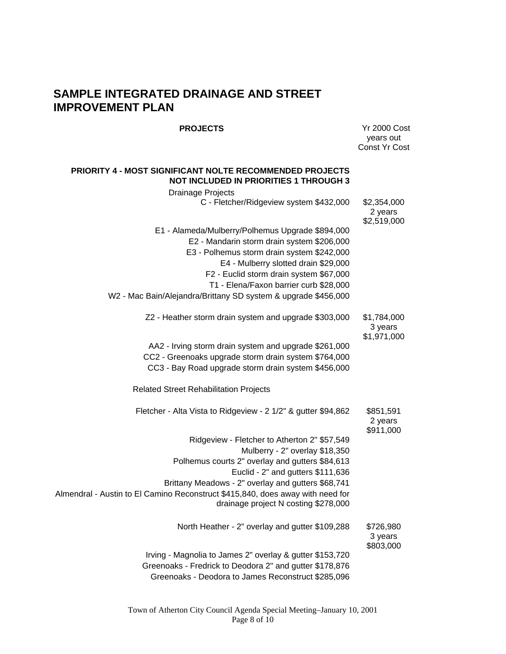# **SAMPLE INTEGRATED DRAINAGE AND STREET IMPROVEMENT PLAN**

#### **PROJECTS** Yr 2000 Cost

|                                                                                                                        | years out<br><b>Const Yr Cost</b>     |
|------------------------------------------------------------------------------------------------------------------------|---------------------------------------|
| <b>PRIORITY 4 - MOST SIGNIFICANT NOLTE RECOMMENDED PROJECTS</b><br><b>NOT INCLUDED IN PRIORITIES 1 THROUGH 3</b>       |                                       |
| <b>Drainage Projects</b>                                                                                               |                                       |
| C - Fletcher/Ridgeview system \$432,000                                                                                | \$2,354,000<br>2 years<br>\$2,519,000 |
| E1 - Alameda/Mulberry/Polhemus Upgrade \$894,000                                                                       |                                       |
| E2 - Mandarin storm drain system \$206,000                                                                             |                                       |
| E3 - Polhemus storm drain system \$242,000                                                                             |                                       |
| E4 - Mulberry slotted drain \$29,000                                                                                   |                                       |
| F2 - Euclid storm drain system \$67,000                                                                                |                                       |
| T1 - Elena/Faxon barrier curb \$28,000                                                                                 |                                       |
| W2 - Mac Bain/Alejandra/Brittany SD system & upgrade \$456,000                                                         |                                       |
| Z2 - Heather storm drain system and upgrade \$303,000                                                                  | \$1,784,000<br>3 years                |
| AA2 - Irving storm drain system and upgrade \$261,000                                                                  | \$1,971,000                           |
| CC2 - Greenoaks upgrade storm drain system \$764,000                                                                   |                                       |
| CC3 - Bay Road upgrade storm drain system \$456,000                                                                    |                                       |
| <b>Related Street Rehabilitation Projects</b>                                                                          |                                       |
| Fletcher - Alta Vista to Ridgeview - 2 1/2" & gutter \$94,862                                                          | \$851,591<br>2 years<br>\$911,000     |
| Ridgeview - Fletcher to Atherton 2" \$57,549                                                                           |                                       |
| Mulberry - 2" overlay \$18,350                                                                                         |                                       |
| Polhemus courts 2" overlay and gutters \$84,613                                                                        |                                       |
| Euclid - 2" and gutters \$111,636                                                                                      |                                       |
| Brittany Meadows - 2" overlay and gutters \$68,741                                                                     |                                       |
| Almendral - Austin to El Camino Reconstruct \$415,840, does away with need for<br>drainage project N costing \$278,000 |                                       |
| North Heather - 2" overlay and gutter \$109,288                                                                        | \$726,980<br>3 years<br>\$803,000     |
| Irving - Magnolia to James 2" overlay & gutter \$153,720                                                               |                                       |
| Greenoaks - Fredrick to Deodora 2" and gutter \$178,876                                                                |                                       |
| Greenoaks - Deodora to James Reconstruct \$285,096                                                                     |                                       |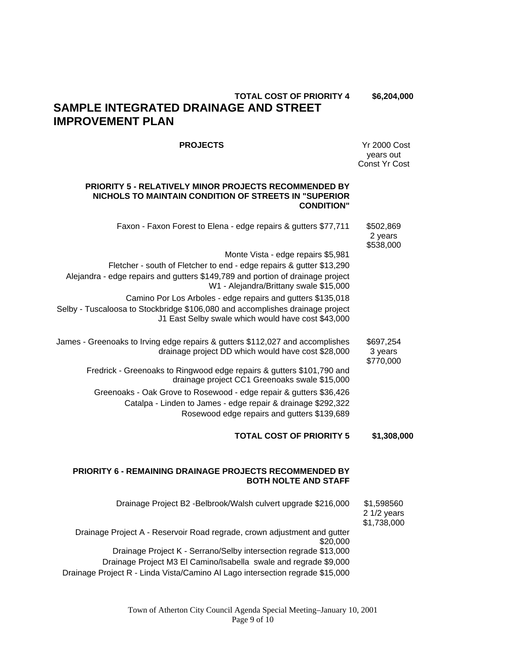## **TOTAL COST OF PRIORITY 4 \$6,204,000 SAMPLE INTEGRATED DRAINAGE AND STREET IMPROVEMENT PLAN**

**PROJECTS** Yr 2000 Cost years out Const Yr Cost

#### **PRIORITY 5 - RELATIVELY MINOR PROJECTS RECOMMENDED BY NICHOLS TO MAINTAIN CONDITION OF STREETS IN "SUPERIOR CONDITION"**

| \$502,869<br>2 years<br>\$538,000         | Faxon - Faxon Forest to Elena - edge repairs & gutters \$77,711                                                                                                                                                                        |
|-------------------------------------------|----------------------------------------------------------------------------------------------------------------------------------------------------------------------------------------------------------------------------------------|
|                                           | Monte Vista - edge repairs \$5,981<br>Fletcher - south of Fletcher to end - edge repairs & gutter \$13,290<br>Alejandra - edge repairs and gutters \$149,789 and portion of drainage project<br>W1 - Alejandra/Brittany swale \$15,000 |
|                                           | Camino Por Los Arboles - edge repairs and gutters \$135,018<br>Selby - Tuscaloosa to Stockbridge \$106,080 and accomplishes drainage project<br>J1 East Selby swale which would have cost \$43,000                                     |
| \$697,254<br>3 years<br>\$770,000         | James - Greenoaks to Irving edge repairs & gutters \$112,027 and accomplishes<br>drainage project DD which would have cost \$28,000                                                                                                    |
|                                           | Fredrick - Greenoaks to Ringwood edge repairs & gutters \$101,790 and<br>drainage project CC1 Greenoaks swale \$15,000                                                                                                                 |
|                                           | Greenoaks - Oak Grove to Rosewood - edge repair & gutters \$36,426<br>Catalpa - Linden to James - edge repair & drainage \$292,322<br>Rosewood edge repairs and gutters \$139,689                                                      |
| \$1,308,000                               | <b>TOTAL COST OF PRIORITY 5</b>                                                                                                                                                                                                        |
|                                           | <b>PRIORITY 6 - REMAINING DRAINAGE PROJECTS RECOMMENDED BY</b><br><b>BOTH NOLTE AND STAFF</b>                                                                                                                                          |
| \$1,598560<br>$21/2$ years<br>\$1,738,000 | Drainage Project B2 - Belbrook/Walsh culvert upgrade \$216,000                                                                                                                                                                         |
|                                           |                                                                                                                                                                                                                                        |
|                                           | Drainage Project A - Reservoir Road regrade, crown adjustment and gutter<br>\$20,000<br>Droinege Project K Correna (Selby intersection regrade \$12,000                                                                                |

Drainage Project K - Serrano/Selby intersection regrade \$13,000 Drainage Project M3 El Camino/Isabella swale and regrade \$9,000 Drainage Project R - Linda Vista/Camino Al Lago intersection regrade \$15,000